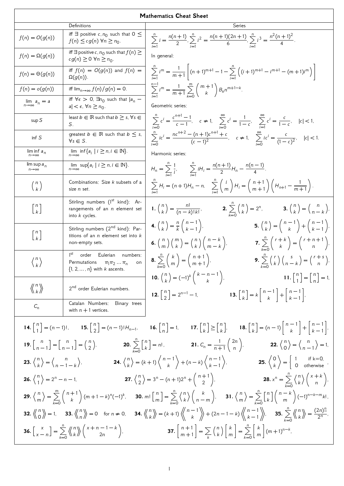| <b>Mathematics Cheat Sheet</b>                                                                                                                                                                                                                                                                                                                                                                                                                                                                            |                                                                                                                                     |                                                                                                                                                                                                                                                                                                                                                                |  |
|-----------------------------------------------------------------------------------------------------------------------------------------------------------------------------------------------------------------------------------------------------------------------------------------------------------------------------------------------------------------------------------------------------------------------------------------------------------------------------------------------------------|-------------------------------------------------------------------------------------------------------------------------------------|----------------------------------------------------------------------------------------------------------------------------------------------------------------------------------------------------------------------------------------------------------------------------------------------------------------------------------------------------------------|--|
|                                                                                                                                                                                                                                                                                                                                                                                                                                                                                                           | Definitions                                                                                                                         | Series                                                                                                                                                                                                                                                                                                                                                         |  |
| $f(n) = O(g(n))$                                                                                                                                                                                                                                                                                                                                                                                                                                                                                          | iff $\exists$ positive c, $n_0$ such that $0 \leq$<br>$f(n) \leq c g(n)$ $\forall n \geq n_0$ .                                     | $\sum_{n=1}^{n} i = \frac{n(n+1)}{2}, \sum_{n=1}^{n} i^2 = \frac{n(n+1)(2n+1)}{6}, \sum_{n=1}^{n} i^3 = \frac{n^2(n+1)^2}{4}.$                                                                                                                                                                                                                                 |  |
| $f(n) = \Omega(g(n))$                                                                                                                                                                                                                                                                                                                                                                                                                                                                                     | iff $\exists$ positive c, $n_0$ such that $f(n) \geq$<br>$cg(n) \geq 0 \ \forall n \geq n_0.$                                       | In general:                                                                                                                                                                                                                                                                                                                                                    |  |
| $f(n) = \Theta(g(n))$                                                                                                                                                                                                                                                                                                                                                                                                                                                                                     | iff $f(n) = O(g(n))$ and $f(n) =$<br>$\Omega(g(n)).$                                                                                | $\sum_{i=1}^{n} i^{m} = \frac{1}{m+1} \left[ (n+1)^{m+1} - 1 - \sum_{i=1}^{n} \left( (i+1)^{m+1} - i^{m+1} - (m+1)i^{m} \right) \right]$                                                                                                                                                                                                                       |  |
| $f(n) = o(g(n))$                                                                                                                                                                                                                                                                                                                                                                                                                                                                                          | iff $\lim_{n\to\infty} f(n)/g(n) = 0$ .                                                                                             | $\sum_{k=1}^{n-1} i^{m} = \frac{1}{m+1} \sum_{k=0}^{m} \binom{m+1}{k} B_{k} n^{m+1-k}.$                                                                                                                                                                                                                                                                        |  |
| $\lim_{n\to\infty} a_n = a$                                                                                                                                                                                                                                                                                                                                                                                                                                                                               | iff $\forall \epsilon > 0$ , $\exists n_0$ such that $ a_n -$<br>$ a  < \epsilon, \forall n \geq n_0.$                              | Geometric series:                                                                                                                                                                                                                                                                                                                                              |  |
| sup S                                                                                                                                                                                                                                                                                                                                                                                                                                                                                                     | least $b \in \mathbb{R}$ such that $b \geq s$ , $\forall s \in$<br>S.                                                               | $\sum_{i=0}^{n} c^{i} = \frac{c^{n+1}-1}{c-1}, \quad c \neq 1, \quad \sum_{i=0}^{\infty} c^{i} = \frac{1}{1-c}, \quad \sum_{i=1}^{\infty} c^{i} = \frac{c}{1-c}, \quad  c  < 1,$                                                                                                                                                                               |  |
| inf S                                                                                                                                                                                                                                                                                                                                                                                                                                                                                                     | greatest $b \in \mathbb{R}$ such that $b \leq s$ ,<br>$\forall s \in S$ .                                                           | $\sum_{i=0}^{n}ic^{i} = \frac{nc^{n+2} - (n+1)c^{n+1} + c}{(c-1)^{2}}, \quad c \neq 1, \quad \sum_{i=0}^{\infty}ic^{i} = \frac{c}{(1-c)^{2}}, \quad  c  < 1.$                                                                                                                                                                                                  |  |
| $\liminf_{n\to\infty} a_n$                                                                                                                                                                                                                                                                                                                                                                                                                                                                                | $\lim_{n\to\infty} \inf\{a_i \mid i\geq n, i\in\overline{\mathbb{N}\}}.$                                                            | Harmonic series:                                                                                                                                                                                                                                                                                                                                               |  |
| lim sup $a_n$<br>$n\rightarrow\infty$                                                                                                                                                                                                                                                                                                                                                                                                                                                                     | $\lim_{n\to\infty} \sup\{a_i \mid i \geq n, i \in \mathbb{N}\}.$                                                                    | $H_n = \sum_{i=1}^{n} \frac{1}{i}$ , $\sum_{i=1}^{n} iH_i = \frac{n(n+1)}{2}H_n - \frac{n(n-1)}{4}$ .                                                                                                                                                                                                                                                          |  |
| $\binom{n}{k}$                                                                                                                                                                                                                                                                                                                                                                                                                                                                                            | Combinations: Size k subsets of a<br>size <i>n</i> set.                                                                             | $\sum_{i=1}^n H_i = (n+1)H_n - n, \quad \sum_{i=1}^n {i \choose m} H_i = {n+1 \choose m+1} \left( H_{n+1} - \frac{1}{m+1} \right).$                                                                                                                                                                                                                            |  |
| $\left[ n \atop k \right]$                                                                                                                                                                                                                                                                                                                                                                                                                                                                                | Stirling numbers (1 <sup>st</sup> kind): Ar-<br>rangements of an $n$ element set<br>into $k$ cycles.                                | 1. $\binom{n}{k} = \frac{n!}{(n-k)!k!},$ 2. $\sum_{k=0}^{n} \binom{n}{k} = 2^n,$ 3. $\binom{n}{k} = \binom{n}{n-k},$                                                                                                                                                                                                                                           |  |
| $\left[ n \atop k \right]$                                                                                                                                                                                                                                                                                                                                                                                                                                                                                | Stirling numbers (2 <sup>nd</sup> kind): Par-<br>titions of an $n$ element set into $k$<br>non-empty sets.                          | <b>5.</b> $\binom{n}{k} = \binom{n-1}{k} + \binom{n-1}{k-1}$<br><b>4.</b> $\binom{n}{k} = \frac{n}{k} \binom{n-1}{k-1}$ ,<br><b>6.</b> $\binom{n}{m}\binom{m}{k} = \binom{n}{k}\binom{n-k}{m-k}$ ,<br><b>7.</b> $\sum_{k=0}^{n}\binom{r+k}{k} = \binom{r+n+1}{n}$ .                                                                                            |  |
| $\binom{n}{k}$                                                                                                                                                                                                                                                                                                                                                                                                                                                                                            | 1 <sup>st</sup><br>order Eulerian numbers:<br>Permutations $\pi_1 \pi_2 \dots \pi_n$<br>on<br>$\{1, 2, \ldots, n\}$ with k ascents. | <b>8.</b> $\sum_{k=0}^{n} {k \choose m} = {n+1 \choose m+1}$<br><b>9.</b> $\sum_{k=1}^{n} {r \choose k} {s \choose n-k} = {r+s \choose n}$ .                                                                                                                                                                                                                   |  |
| $\langle \langle \begin{array}{c} n \\ k \end{array} \rangle$                                                                                                                                                                                                                                                                                                                                                                                                                                             | 2 <sup>nd</sup> order Eulerian numbers.                                                                                             | <b>10.</b> $\binom{n}{k} = (-1)^k \binom{k-n-1}{k}$<br>11. $\begin{bmatrix} n \\ 1 \end{bmatrix} = \begin{bmatrix} n \\ n \end{bmatrix} = 1$<br><b>12.</b> $\begin{bmatrix} n \\ 2 \end{bmatrix} = 2^{n-1} - 1$ ,<br><b>13.</b> $\begin{bmatrix} n \\ k \end{bmatrix} = k \begin{bmatrix} n-1 \\ k \end{bmatrix} + \begin{bmatrix} n-1 \\ k-1 \end{bmatrix}$ , |  |
| $C_n$                                                                                                                                                                                                                                                                                                                                                                                                                                                                                                     | Catalan Numbers: Binary trees<br>with $n + 1$ vertices.                                                                             |                                                                                                                                                                                                                                                                                                                                                                |  |
| <b>14.</b> $\begin{bmatrix} n \\ 1 \end{bmatrix} = (n-1)!$ , <b>15.</b> $\begin{bmatrix} n \\ 2 \end{bmatrix} = (n-1)!H_{n-1}$ , <b>16.</b> $\begin{bmatrix} n \\ n \end{bmatrix} = 1$ , <b>17.</b> $\begin{bmatrix} n \\ k \end{bmatrix} \geq \begin{bmatrix} n \\ k \end{bmatrix}$ , <b>18.</b> $\begin{bmatrix} n \\ k \end{bmatrix} = (n-1)\begin{bmatrix} n-1 \\ k \end{bmatrix} + \begin{bmatrix} n-1 \\ k-1 \end{bmatrix}$ ,                                                                       |                                                                                                                                     |                                                                                                                                                                                                                                                                                                                                                                |  |
| <b>19.</b> $\begin{bmatrix} n \\ n-1 \end{bmatrix} = \begin{bmatrix} n \\ n-1 \end{bmatrix} = \begin{pmatrix} n \\ 2 \end{pmatrix}$ , <b>20.</b> $\sum_{k=0}^{n} \begin{bmatrix} n \\ k \end{bmatrix} = n!$ , <b>21.</b> $C_n = \frac{1}{n+1} \begin{pmatrix} 2n \\ n \end{pmatrix}$ , <b>22.</b> $\begin{Bmatrix} n \\ 0 \end{Bmatrix} = \begin{Bmatrix} n \\ n-1 \end{Bmatrix} = 1$ ,                                                                                                                   |                                                                                                                                     |                                                                                                                                                                                                                                                                                                                                                                |  |
| <b>23.</b> $\binom{n}{k} = \binom{n}{n-1-k}$ , <b>24.</b> $\binom{n}{k} = (k+1)\binom{n-1}{k} + (n-k)\binom{n-1}{k-1}$ , <b>25.</b> $\binom{0}{k} = \begin{bmatrix} 1 & \text{if } k=0, \\ 0 & \text{otherwise} \end{bmatrix}$                                                                                                                                                                                                                                                                            |                                                                                                                                     |                                                                                                                                                                                                                                                                                                                                                                |  |
| <b>27.</b> $\binom{n}{2} = 3^n - (n+1)2^n + \binom{n+1}{2}$ , <b>28.</b> $x^n = \sum_{k=0}^n \binom{n}{k} \binom{x+k}{n}$<br><b>26.</b> $\binom{n}{1} = 2^n - n - 1$ ,                                                                                                                                                                                                                                                                                                                                    |                                                                                                                                     |                                                                                                                                                                                                                                                                                                                                                                |  |
| <b>29.</b> $\binom{n}{m} = \sum_{k=0}^{m} \binom{n+1}{k} (m+1-k)^n (-1)^k$ , <b>30.</b> $m! \binom{n}{m} = \sum_{k=0}^{n} \binom{n}{k} \binom{k}{n-m}$ , <b>31.</b> $\binom{n}{m} = \sum_{k=0}^{n} \binom{n}{k} \binom{n-k}{m} (-1)^{n-k-m} k!$                                                                                                                                                                                                                                                           |                                                                                                                                     |                                                                                                                                                                                                                                                                                                                                                                |  |
| <b>32.</b> $\left\langle \begin{array}{c} n \\ 0 \end{array} \right\rangle = 1$ , <b>33.</b> $\left\langle \begin{array}{c} n \\ n \end{array} \right\rangle = 0$ for $n \neq 0$ , <b>34.</b> $\left\langle \begin{array}{c} n \\ k \end{array} \right\rangle = (k+1)\left\langle \begin{array}{c} n-1 \\ k \end{array} \right\rangle + (2n-1-k)\left\langle \begin{array}{c} n-1 \\ k-1 \end{array} \right\rangle$ , <b>35.</b> $\sum_{k=0}^{n} \left\langle \begin{array}{c} n \\ k \end{array} \right$ |                                                                                                                                     |                                                                                                                                                                                                                                                                                                                                                                |  |
| <b>36.</b> $\begin{bmatrix} x \\ x-n \end{bmatrix} = \sum_{k=0}^{n} \left\langle \begin{array}{c} n \\ k \end{array} \right\rangle \left\langle \begin{array}{c} x+n-1-k \\ 2n \end{array} \right\rangle$ , <b>37.</b> $\begin{bmatrix} n+1 \\ m+1 \end{bmatrix} = \sum_{k} \left\langle \begin{array}{c} n \\ k \end{array} \right\rangle \left\langle \begin{array}{c} k \\ m \end{array} \right  = \sum_{k=0}^{n} \left\langle \begin{array}{c} k \\ m \end{array} \right\rangle (m+1)^{n-k}$ ,        |                                                                                                                                     |                                                                                                                                                                                                                                                                                                                                                                |  |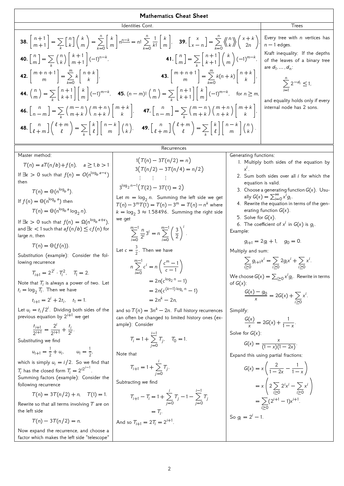| 38. $\begin{bmatrix} n+1 \\ m+1 \end{bmatrix} = \sum_{k} \begin{bmatrix} n \\ k \end{bmatrix} \begin{bmatrix} k \\ m \end{bmatrix} = \sum_{k=0}^{n} \begin{bmatrix} k \\ m \end{bmatrix} n^{\frac{n-k}{2}} = n! \sum_{k=0}^{n} \frac{1}{k!} \begin{bmatrix} k \\ m \end{bmatrix}$ .\n <th>39. <math>\begin{bmatrix} x \\ x-n \end{bmatrix} = \sum_{k=0}^{n} \begin{bmatrix} n \\ k \end{bmatrix} \begin{bmatrix} x+k \\ n-1 \end{bmatrix}</math>, <math>\begin{bmatrix} 1 \\ n-1 \end{bmatrix} = \sum_{k=0}^{n} \begin{bmatrix} n \\ k \end{bmatrix} n^{\frac{n-k}{2}} = \sum_{k=0}^{n} \begin{bmatrix} n \\ k \end{bmatrix} n^{\frac{n-k}{2}} = \sum_{k=0}^{n} \begin{bmatrix} n+1 \\ k+1 \end{bmatrix} \begin{bmatrix} k \\ m \end{bmatrix}</math>.\n<th>Every tree with <i>n</i> vertices has <math>\begin{bmatrix} n+1 \\ n \end{bmatrix} = \sum_{k=0}^{n} \begin{bmatrix} n+1 \\ k \end{bmatrix} \begin{bmatrix} k \\ m \end{bmatrix} = \sum_{k=0}^{n} \begin{bmatrix} n+1 \\ k+1 \end{bmatrix} \begin{bmatrix} k \\ m \end{bmatrix} = \sum_{k=0}^{n} \begin{bmatrix} n+1 \\ k+1 \end{bmatrix} \begin{bmatrix} k \\ m \end{bmatrix} \begin{bmatrix} -1)^{m-k},</math>\n<th>43. <math>\begin{bmatrix} m+n+1 \\ m \end{bmatrix} = \sum_{k=0}^{n} k(n+k) \begin{bmatrix} n+k \\ k \end{bmatrix}</math>, <math>\begin{bmatrix} n+1 \\ n \end{bmatrix} = \sum_{k=0}^{n} k(n+k) \begin{bmatrix} n-k \\ k \end{bmatrix}</math>, and equality holds only if every <math>\begin{bmatrix} n-1 \\ n-1 \end{bmatrix} = \sum_{k=0}^{n} \begin{bmatrix} m+n \\ k+1 \end{bmatrix} \begin{bmatrix} n \\ m \end{bmatrix} = \sum_{k=0}^{n} \begin{bmatrix} n+1 \\ k+1 \end{bmatrix} \begin{bmatrix} k \\ m \end{bmatrix</math></th></th></th> | 39. $\begin{bmatrix} x \\ x-n \end{bmatrix} = \sum_{k=0}^{n} \begin{bmatrix} n \\ k \end{bmatrix} \begin{bmatrix} x+k \\ n-1 \end{bmatrix}$ , $\begin{bmatrix} 1 \\ n-1 \end{bmatrix} = \sum_{k=0}^{n} \begin{bmatrix} n \\ k \end{bmatrix} n^{\frac{n-k}{2}} = \sum_{k=0}^{n} \begin{bmatrix} n \\ k \end{bmatrix} n^{\frac{n-k}{2}} = \sum_{k=0}^{n} \begin{bmatrix} n+1 \\ k+1 \end{bmatrix} \begin{bmatrix} k \\ m \end{bmatrix}$ .\n <th>Every tree with <i>n</i> vertices has <math>\begin{bmatrix} n+1 \\ n \end{bmatrix} = \sum_{k=0}^{n} \begin{bmatrix} n+1 \\ k \end{bmatrix} \begin{bmatrix} k \\ m \end{bmatrix} = \sum_{k=0}^{n} \begin{bmatrix} n+1 \\ k+1 \end{bmatrix} \begin{bmatrix} k \\ m \end{bmatrix} = \sum_{k=0}^{n} \begin{bmatrix} n+1 \\ k+1 \end{bmatrix} \begin{bmatrix} k \\ m \end{bmatrix} \begin{bmatrix} -1)^{m-k},</math>\n<th>43. <math>\begin{bmatrix} m+n+1 \\ m \end{bmatrix} = \sum_{k=0}^{n} k(n+k) \begin{bmatrix} n+k \\ k \end{bmatrix}</math>, <math>\begin{bmatrix} n+1 \\ n \end{bmatrix} = \sum_{k=0}^{n} k(n+k) \begin{bmatrix} n-k \\ k \end{bmatrix}</math>, and equality holds only if every <math>\begin{bmatrix} n-1 \\ n-1 \end{bmatrix} = \sum_{k=0}^{n} \begin{bmatrix} m+n \\ k+1 \end{bmatrix} \begin{bmatrix} n \\ m \end{bmatrix} = \sum_{k=0}^{n} \begin{bmatrix} n+1 \\ k+1 \end{bmatrix} \begin{bmatrix} k \\ m \end{bmatrix</math></th></th> | Every tree with <i>n</i> vertices has $\begin{bmatrix} n+1 \\ n \end{bmatrix} = \sum_{k=0}^{n} \begin{bmatrix} n+1 \\ k \end{bmatrix} \begin{bmatrix} k \\ m \end{bmatrix} = \sum_{k=0}^{n} \begin{bmatrix} n+1 \\ k+1 \end{bmatrix} \begin{bmatrix} k \\ m \end{bmatrix} = \sum_{k=0}^{n} \begin{bmatrix} n+1 \\ k+1 \end{bmatrix} \begin{bmatrix} k \\ m \end{bmatrix} \begin{bmatrix} -1)^{m-k},$ \n <th>43. <math>\begin{bmatrix} m+n+1 \\ m \end{bmatrix} = \sum_{k=0}^{n} k(n+k) \begin{bmatrix} n+k \\ k \end{bmatrix}</math>, <math>\begin{bmatrix} n+1 \\ n \end{bmatrix} = \sum_{k=0}^{n} k(n+k) \begin{bmatrix} n-k \\ k \end{bmatrix}</math>, and equality holds only if every <math>\begin{bmatrix} n-1 \\ n-1 \end{bmatrix} = \sum_{k=0}^{n} \begin{bmatrix} m+n \\ k+1 \end{bmatrix} \begin{bmatrix} n \\ m \end{bmatrix} = \sum_{k=0}^{n} \begin{bmatrix} n+1 \\ k+1 \end{bmatrix} \begin{bmatrix} k \\ m \end{bmatrix</math></th> | 43. $\begin{bmatrix} m+n+1 \\ m \end{bmatrix} = \sum_{k=0}^{n} k(n+k) \begin{bmatrix} n+k \\ k \end{bmatrix}$ , $\begin{bmatrix} n+1 \\ n \end{bmatrix} = \sum_{k=0}^{n} k(n+k) \begin{bmatrix} n-k \\ k \end{bmatrix}$ , and equality holds only if every $\begin{bmatrix} n-1 \\ n-1 \end{bmatrix} = \sum_{k=0}^{n} \begin{bmatrix} m+n \\ k+1 \end{bmatrix} \begin{bmatrix} n \\ m \end{bmatrix} = \sum_{k=0}^{n} \begin{bmatrix} n+1 \\ k+1 \end{bmatrix} \begin{bmatrix} k \\ m \end{bmatrix$ |
|----------------------------------------------------------------------------------------------------------------------------------------------------------------------------------------------------------------------------------------------------------------------------------------------------------------------------------------------------------------------------------------------------------------------------------------------------------------------------------------------------------------------------------------------------------------------------------------------------------------------------------------------------------------------------------------------------------------------------------------------------------------------------------------------------------------------------------------------------------------------------------------------------------------------------------------------------------------------------------------------------------------------------------------------------------------------------------------------------------------------------------------------------------------------------------------------------------------------------------------------------------------------------------------------------------------------------------------------------------------------------------------------------------------------------------------------------------------------------------------------------------------------------------------------------------------------------------------------------------------------------------------------------------------------------------------------------------------------------------|----------------------------------------------------------------------------------------------------------------------------------------------------------------------------------------------------------------------------------------------------------------------------------------------------------------------------------------------------------------------------------------------------------------------------------------------------------------------------------------------------------------------------------------------------------------------------------------------------------------------------------------------------------------------------------------------------------------------------------------------------------------------------------------------------------------------------------------------------------------------------------------------------------------------------------------------------------------------------------------------------------------------------------------------------------------------------------------------------------------------------------------------------------------------------------------------------------------------------------------------------------------------------------------------------------------------------------------------------------------------------------------------------------------|----------------------------------------------------------------------------------------------------------------------------------------------------------------------------------------------------------------------------------------------------------------------------------------------------------------------------------------------------------------------------------------------------------------------------------------------------------------------------------------------------------------------------------------------------------------------------------------------------------------------------------------------------------------------------------------------------------------------------------------------------------------------------------------------------------------------------------------------------------------------------------------------------------------------------------------------------|----------------------------------------------------------------------------------------------------------------------------------------------------------------------------------------------------------------------------------------------------------------------------------------------------------------------------------------------------------------------------------------------------------------------------------------------------------------------------------------------------|
|----------------------------------------------------------------------------------------------------------------------------------------------------------------------------------------------------------------------------------------------------------------------------------------------------------------------------------------------------------------------------------------------------------------------------------------------------------------------------------------------------------------------------------------------------------------------------------------------------------------------------------------------------------------------------------------------------------------------------------------------------------------------------------------------------------------------------------------------------------------------------------------------------------------------------------------------------------------------------------------------------------------------------------------------------------------------------------------------------------------------------------------------------------------------------------------------------------------------------------------------------------------------------------------------------------------------------------------------------------------------------------------------------------------------------------------------------------------------------------------------------------------------------------------------------------------------------------------------------------------------------------------------------------------------------------------------------------------------------------|----------------------------------------------------------------------------------------------------------------------------------------------------------------------------------------------------------------------------------------------------------------------------------------------------------------------------------------------------------------------------------------------------------------------------------------------------------------------------------------------------------------------------------------------------------------------------------------------------------------------------------------------------------------------------------------------------------------------------------------------------------------------------------------------------------------------------------------------------------------------------------------------------------------------------------------------------------------------------------------------------------------------------------------------------------------------------------------------------------------------------------------------------------------------------------------------------------------------------------------------------------------------------------------------------------------------------------------------------------------------------------------------------------------|----------------------------------------------------------------------------------------------------------------------------------------------------------------------------------------------------------------------------------------------------------------------------------------------------------------------------------------------------------------------------------------------------------------------------------------------------------------------------------------------------------------------------------------------------------------------------------------------------------------------------------------------------------------------------------------------------------------------------------------------------------------------------------------------------------------------------------------------------------------------------------------------------------------------------------------------------|----------------------------------------------------------------------------------------------------------------------------------------------------------------------------------------------------------------------------------------------------------------------------------------------------------------------------------------------------------------------------------------------------------------------------------------------------------------------------------------------------|

Master method:

 $T(n) = aT(n/b) + f(n), \quad a \ge 1, b > 1$ If  $\exists \epsilon > 0$  such that  $f(n) = O(n^{\log_b a - \epsilon})$ then  $T(n) = \Theta(n^{\log_b a}).$ 

If 
$$
f(n) = \Theta(n^{\log_b a})
$$
 then

$$
T(n) = \Theta(n^{\log_b a} \log_2 n).
$$

If  $\exists \epsilon > 0$  such that  $f(n) = \Omega(n^{\log_b a + \epsilon})$ , and  $\exists c < 1$  such that  $af(n/b) \leq cf(n)$  for large  $n$ , then

$$
T(n) = \Theta(f(n)).
$$

Substitution (example): Consider the following recurrence

$$
T_{i+1} = 2^{2^i} \cdot T_i^2, \quad T_1 = 2.
$$

Note that  $T_i$  is always a power of two. Let  $t_i = \log_2 T_i$ . Then we have

$$
t_{i+1} = 2^i + 2t_i, \quad t_1 = 1.
$$

Let  $u_i = t_i/2^i$ . Dividing both sides of the previous equation by  $2^{i+1}$  we get

$$
\frac{t_{i+1}}{2^{i+1}} = \frac{2^i}{2^{i+1}} + \frac{t_i}{2^i}.
$$

Substituting we find

$$
u_{i+1} = \frac{1}{2} + u_i, \qquad u_1 = \frac{1}{2},
$$

which is simply  $u_i = i/2$ . So we find that

 $T_i$  has the closed form  $T_i = 2^{i2^{i-1}}$ . Summing factors (example): Consider the following recurrence

$$
T(n) = 3T(n/2) + n, \quad T(1) = 1.
$$

Rewrite so that all terms involving  $T$  are on the left side

$$
T(n) - 3T(n/2) = n.
$$

Now expand the recurrence, and choose a factor which makes the left side "telescope"

# $1(T(n) - 3T(n/2) = n)$  $3(T(n/2) - 3T(n/4) = n/2)$  $\pm$   $\pm$   $\pm$   $\pm$

$$
3^{\log_2 n - 1}(T(2) - 3T(1) = 2)
$$
  
Let  $m = \log_2 n$ . Summing the left

ide we get  $T(n)-3^mT(1) = T(n)-3^m = T(n)-n^k$  where  $k = \log_2 3 \approx 1.58496$ . Summing the right side we get

$$
\sum_{i=0}^{m-1} \frac{n}{2^i} 3^i = n \sum_{i=0}^{m-1} \left(\frac{3}{2}\right)^i.
$$

Let 
$$
c = \frac{3}{2}
$$
. Then we have  
\n
$$
n \sum_{i=0}^{m-1} c^i = n \left( \frac{c^m - 1}{c - 1} \right)
$$
\n
$$
= 2n(c^{\log_2 n} - 1)
$$
\n
$$
= 2n(c^{(k-1)\log_c n} - 1)
$$
\n
$$
= 2n^k - 2n,
$$

and so  $T(n) = 3n^k - 2n$ . Full history recurrences can often be changed to limited history ones (example): Consider

$$
T_i = 1 + \sum_{j=0}^{i-1} T_j, \quad T_0 = 1.
$$

Note that

$$
T_{i+1} = 1 + \sum_{j=0}^{i} T_j.
$$

Subtracting we find

$$
T_{i+1} - T_i = 1 + \sum_{j=0}^{i} T_j - 1 - \sum_{j=0}^{i-1} T_j
$$
  
=  $T_i$ .

.

And so 
$$
T_{i+1} = 2T_i = 2^{i+1}
$$

Generating functions:

- . Multiply both sides of the equation by  $x^i$ .
- 2. Sum both sides over all  $i$  for which the equation is valid.
- 3. Choose a generating function  $G(x)$ . Usually  $G(x) = \sum_{i=0}^{\infty} x^i g_i$ .
- . Rewrite the equation in terms of the generating function  $G(x)$ .
- 5. Solve for  $G(x)$ .

6. The coefficient of  $x^i$  in  $G(x)$  is  $g_i$ . Example:

$$
g_{i+1} = 2g_i + 1, \quad g_0 = 0.
$$

Multiply and sum:

$$
\sum_{i\geq 0} g_{i+1}x^i = \sum_{i\geq 0} 2g_i x^i + \sum_{i\geq 0} x^i.
$$

We choose  $G(x) = \sum_{i \geq 0} x^i g_i$ . Rewrite in terms of  $G(x)$ :

$$
\frac{G(x)-g_0}{x}=2G(x)+\sum_{i\geq 0}x^i.
$$

Simplify:

$$
\frac{G(x)}{x} = 2G(x) + \frac{1}{1-x}.
$$
  
Solve for  $G(x)$ :  

$$
G(x) = \frac{x}{(1-x)(1-2x)}.
$$

Expand this using partial fractions:

$$
G(x) = x \left( \frac{2}{1 - 2x} - \frac{1}{1 - x} \right)
$$
  
=  $x \left( 2 \sum_{i \ge 0} 2^i x^i - \sum_{i \ge 0} x^i \right)$   
=  $\sum_{i \ge 0} (2^{i+1} - 1) x^{i+1}$ .  
So  $g_i = 2^i - 1$ .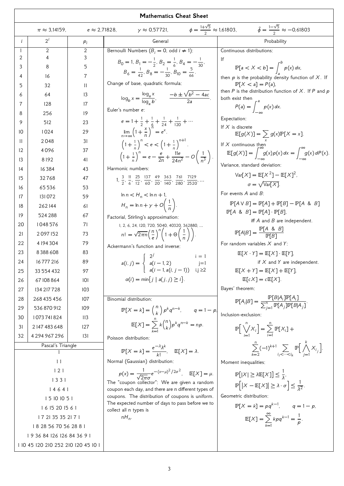| <b>Mathematics Cheat Sheet</b>      |                           |                      |                                                                                                                                                          |                                                                                                              |
|-------------------------------------|---------------------------|----------------------|----------------------------------------------------------------------------------------------------------------------------------------------------------|--------------------------------------------------------------------------------------------------------------|
|                                     | $\pi \approx 3,14159$ ,   | $e \approx 2,71828,$ | $\gamma \approx 0.57721$ ,                                                                                                                               | $\phi = \frac{1+\sqrt{5}}{2} \approx 1,61803,$ $\hat{\phi} = \frac{1-\sqrt{5}}{2} \approx -0,61803$          |
| $\mathbf{i}$                        | $2^{i}$                   | $P_i$                | General                                                                                                                                                  | Probability                                                                                                  |
| 1                                   | 2                         | 2                    | Bernoulli Numbers $(B_i = 0, \text{ odd } i \neq 1)$ :                                                                                                   | Continuous distributions:                                                                                    |
| 2                                   | 4                         | 3                    | $B_0 = 1, B_1 = -\frac{1}{2}, B_2 = \frac{1}{6}, B_4 = -\frac{1}{30},$                                                                                   | Ιf                                                                                                           |
| 3                                   | 8                         | 5                    | $B_6 = \frac{1}{42}$ , $B_8 = -\frac{1}{30}$ , $B_{10} = \frac{3}{66}$ .                                                                                 | $\mathbb{P}[a < X < b] = \int^{b} p(x) dx$                                                                   |
| 4                                   | 16                        | 7                    |                                                                                                                                                          | then $p$ is the probability density function of $X$ . If                                                     |
| 5                                   | 32                        | 11                   | Change of base, quadratic formula:                                                                                                                       | $\mathbb{P}[X \le a] = P(a),$<br>then $P$ is the distribution function of $X$ . If $P$ and $p$               |
| 6                                   | 64                        | 13                   | $\log_b x = \frac{\log_a x}{\log_b b}, \qquad \frac{-b \pm \sqrt{b^2 - 4ac}}{2a}.$                                                                       | both exist then                                                                                              |
| 7                                   | 128                       | 17                   | Euler's number e:                                                                                                                                        | $P(a) = \int_{a}^{a} p(x) dx.$                                                                               |
| 8                                   | 256                       | 19                   |                                                                                                                                                          | Expectation:                                                                                                 |
| 9                                   | 512                       | 23                   | $e = 1 + \frac{1}{2} + \frac{1}{6} + \frac{1}{24} + \frac{1}{120} + \cdots$                                                                              | If $X$ is discrete                                                                                           |
| 10                                  | 1024                      | 29                   | $\lim_{n\to\infty} \left(1+\frac{x}{n}\right)^n = e^x.$                                                                                                  | $\mathbb{E}[g(X)] = \sum_{x} g(x) \mathbb{P}[X=x].$                                                          |
| H                                   | 2048                      | 31                   | $\left(1+\frac{1}{a}\right)^n < e < \left(1+\frac{1}{a}\right)^{n+1}$ .                                                                                  | If $X$ continuous then                                                                                       |
| 12                                  | 4096                      | 37                   | $\left(1+\frac{1}{n}\right)^n = e - \frac{e}{2n} + \frac{11e}{24n^2} - O\left(\frac{1}{n^3}\right).$                                                     | $\mathbb{E}[g(X)] = \int_{-\infty}^{\infty} g(x)p(x) dx = \int_{-\infty}^{\infty} g(x) dP(x).$               |
| 13                                  | 8192                      | 41                   |                                                                                                                                                          | Variance, standard deviation:                                                                                |
| 14                                  | 16384                     | 43                   | Harmonic numbers:                                                                                                                                        | $Var[X] = E[X^2] - E[X]^2$                                                                                   |
| 15                                  | 32768                     | 47                   | 1, $\frac{3}{2}$ , $\frac{11}{6}$ , $\frac{25}{12}$ , $\frac{137}{60}$ , $\frac{49}{20}$ , $\frac{363}{140}$ , $\frac{761}{280}$ , $\frac{7129}{2520}$ , | $\sigma = \sqrt{\text{Var}[X]}$                                                                              |
| 16                                  | 65536                     | 53                   | $\ln n < H_n < \ln n + 1$ ,                                                                                                                              | For events $A$ and $B$ :                                                                                     |
| 17                                  | 131072                    | 59                   |                                                                                                                                                          | $P[A \vee B] = P[A] + P[B] - P[A \& B]$                                                                      |
| 18                                  | 262144                    | 61                   | $H_n = \ln n + \gamma + O\left(\frac{1}{n}\right).$                                                                                                      | $P[A \& B] = P[A] \cdot P[B],$                                                                               |
| 19                                  | 524 288                   | 67                   | Factorial, Stirling's approximation:                                                                                                                     | iff $A$ and $B$ are independent.                                                                             |
| 20                                  | 1048576                   | 71                   | 1, 2, 6, 24, 120, 720, 5040, 40320, 362880,                                                                                                              | $P[A B] = \frac{P[A \& B]}{P[B]}$                                                                            |
| 21                                  | 2097152                   | 73                   | $n! = \sqrt{2\pi n} \left(\frac{n}{e}\right)^n \left(1 + \Theta\left(\frac{1}{n}\right)\right).$                                                         |                                                                                                              |
| 22                                  | 4 194 304                 | 79                   | Ackermann's function and inverse:                                                                                                                        | For random variables $X$ and $Y$ :                                                                           |
| 23                                  | 8388608                   | 83                   | $a(i, j) = \begin{cases} 2^{j} & i = 1 \\ a(i - 1, 2) & j = 1 \end{cases}$                                                                               | $E[X \cdot Y] = E[X] \cdot E[Y]$                                                                             |
| 24                                  | 16777216                  | 89                   | $a(i-1, a(i, j-1))$ i,j $\geq 2$                                                                                                                         | if $X$ and $Y$ are independent.<br>$E[X + Y] = E[X] + E[Y],$                                                 |
| 25                                  | 33 554 432                | 97                   | $\alpha(i) = \min\{j \mid a(j, j) \geq i\}.$                                                                                                             | $\mathbb{E}[\epsilon X] = \epsilon \mathbb{E}[X].$                                                           |
| 26                                  | 67 108 864                | 101                  |                                                                                                                                                          | Bayes' theorem:                                                                                              |
| 27                                  | 134 217 7 28              | 103                  |                                                                                                                                                          |                                                                                                              |
| 28                                  | 268 435 456               | 107                  | Binomial distribution:                                                                                                                                   | $\mathbb{P}[A_i B] = \frac{\mathbb{P}[B A_i]\mathbb{P}[A_i]}{\sum_{i=1}^n \mathbb{P}[A_i]\mathbb{P}[B A_i]}$ |
| 29<br>30                            | 536 870 912<br>1073741824 | 109<br>113           | $\mathbb{P}[X = k] = {n \choose k} p^k q^{n-k}, \qquad q = 1 - p$                                                                                        | Inclusion-exclusion:                                                                                         |
| 31                                  | 2147483648                | 127                  | $\mathbb{E}[X] = \sum_{k=1}^{n} k {n \choose k} p^k q^{n-k} = np.$                                                                                       |                                                                                                              |
| 32                                  | 4294967296                | 131                  |                                                                                                                                                          | $\mathbb{P}\left[\bigvee_{i=1}^{n} X_i\right] = \sum_{i=1}^{n} \mathbb{P}[X_i] +$                            |
|                                     | Pascal's Triangle         |                      | Poisson distribution:                                                                                                                                    |                                                                                                              |
|                                     |                           |                      | $\mathbb{P}[X = k] = \frac{e^{-\lambda} \lambda^{k}}{k!}, \quad \mathbb{E}[X] = \lambda.$                                                                | $\sum_{k=0}^n (-1)^{k+1} \sum_{i_1 < \cdots < i_k} \mathbb{P} \Big[ \bigwedge_{i=1}^k X_{i_j} \Big].$        |
| 11                                  |                           |                      | Normal (Gaussian) distribution:                                                                                                                          | Moment inequalities:                                                                                         |
| 121                                 |                           |                      | $p(x) = \frac{1}{\sqrt{2\pi}\sigma}e^{-(x-\mu)^2/2\sigma^2}$ , $\mathbb{E}[X] = \mu$ .                                                                   | $\mathbb{P}[ X  \ge \lambda \mathbb{E}[X]] \le \frac{1}{\lambda}$                                            |
| 1331                                |                           |                      | The "coupon collector": We are given a random                                                                                                            | $\mathbb{P}\left[  X - \mathbb{E}[X]  \geq \lambda \cdot \sigma \right] \leq \frac{1}{\lambda^2}.$           |
| 14641                               |                           |                      | coupon each day, and there are $n$ different types of<br>coupons. The distribution of coupons is uniform.                                                | Geometric distribution:                                                                                      |
| 15 10 10 5 1                        |                           |                      | The expected number of days to pass before we to                                                                                                         | $P[X = k] = pq^{k-1}, \quad q = 1-p,$                                                                        |
| 1615201561<br>17 21 35 35 21 7 1    |                           |                      | collect all $n$ types is                                                                                                                                 |                                                                                                              |
| 18 28 56 70 56 28 8 1               |                           |                      | $nH_n$ .                                                                                                                                                 | $\mathbb{E}[X] = \sum_{k=1}^{\infty} k p q^{k-1} = \frac{1}{p}.$                                             |
| 193684126126843691                  |                           |                      |                                                                                                                                                          |                                                                                                              |
| 1 10 45 120 210 252 210 120 45 10 1 |                           |                      |                                                                                                                                                          |                                                                                                              |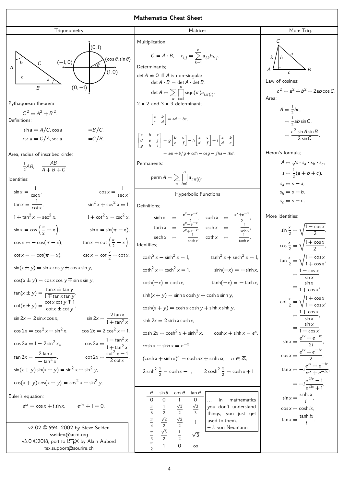Trigonometry



Pythagorean theorem:

$$
C2 = A2 + B2.
$$
  
Definitions:  

$$
\sin a = A/C, \cos a = B/C,
$$

$$
\csc a = C/A, \sec a = C/B,
$$

Area, radius of inscribed circle:

$$
\frac{1}{2}AB, \quad \frac{AB}{A+B+C}.
$$

Identities:

$$
\sin x = \frac{1}{\csc x}, \qquad \cos x = \frac{1}{\sec x},
$$
\n
$$
\tan x = \frac{1}{\cot x}, \qquad \sin^2 x + \cos^2 x = 1,
$$
\n
$$
1 + \tan^2 x = \sec^2 x, \qquad 1 + \cot^2 x = \csc^2 x,
$$
\n
$$
\sin x = \cos(\frac{\pi}{2} - x), \qquad \sin x = \sin(\pi - x),
$$
\n
$$
\cos x = -\cos(\pi - x), \qquad \tan x = \cot(\frac{\pi}{2} - x),
$$
\n
$$
\cot x = -\cot(\pi - x), \qquad \csc x = \cot \frac{x}{2} - \cot x,
$$
\n
$$
\sin(x \pm y) = \sin x \cos y \pm \cos x \sin y,
$$
\n
$$
\cos(x \pm y) = \cos x \cos y \mp \sin x \sin y,
$$
\n
$$
\tan(x \pm y) = \frac{\tan x \pm \tan y}{1 \mp \tan x \tan y},
$$
\n
$$
\cot(x \pm y) = \frac{\cot x \cot y \mp 1}{\cot x \pm \cot y},
$$
\n
$$
\sin 2x = 2 \sin x \cos x, \qquad \sin 2x = \frac{2 \tan x}{1 + \tan^2 x},
$$
\n
$$
\cos 2x = \cos^2 x - \sin^2 x, \qquad \cos 2x = 2 \cos^2 x - 1,
$$
\n
$$
\cos 2x = 1 - 2 \sin^2 x, \qquad \cos 2x = \frac{1 - \tan^2 x}{1 + \tan^2 x},
$$
\n
$$
\tan 2x = \frac{2 \tan x}{1 - \tan^2 x}, \qquad \cot 2x = \frac{\cot^2 x - 1}{2 \cot x},
$$
\n
$$
\sin(x + y) \sin(x - y) = \sin^2 x - \sin^2 y,
$$
\n
$$
\cos(x + y) \cos(x - y) = \cos^2 x - \sin^2 y.
$$
\nEuler's equation:\n
$$
e^{ix} = \cos x + i \sin x, \qquad e^{i\pi} + 1 = 0.
$$
\n
$$
\sqrt{2.02 \text{ } \textcircled{1994} - 2002 \text{ by Steve Seiden}
$$
\n
$$
\text{seiden} \textcircled{2018}, \text{port to �
$$

tex.support@sourire.ch

**Matrices** Multiplication:  $C = A \cdot B, \quad c_{i,j} =$  $\overline{r}$ ∑  $k=1$  $a_{i,k}b_{k,j}$ . Determinants:  $\det A \neq 0$  iff A is non-singular.  $\det A \cdot B = \det A \cdot \det B$ ,  $\det A = \sum$  $\overline{\pi}$  $\overline{ }$ ∏  $i=1$  $sign(\pi)a_{i,\pi(i)}$ .  $2 \times 2$  and  $3 \times 3$  determinant:  $\begin{bmatrix} a & b \\ c & d \end{bmatrix}$  = ad – bc,  $\lceil$ ⎢ ⎣ a b c  $d$  e f g h i ⎤ ⎥ ⎦  $= g \begin{bmatrix} b & c \\ e & f \end{bmatrix} - h \begin{bmatrix} a & c \\ d & f \end{bmatrix} + i \begin{bmatrix} a & b \\ d & e \end{bmatrix}$  $= aei + bfg + cdh - ceg - fha - ibd$ Permanents:  $\mathsf{perm}\, A = \sum$  $\overline{\pi}$  $\overline{r}$ ∏  $i=1$  $a_{i,\pi(i)}$ . Hyperbolic Functions Definitions:  $\sinh x = \frac{e^{x} - e^{-x}}{2}$  $\frac{e^{-x}}{2-x}$ , cosh  $x = \frac{e^{-x}}{2}$  $x_+e^{-x}$ 2 ,  $\tanh x = \frac{e^{x} - e^{-x}}{x - x}$  $e^{\frac{x}{e^x-e^{-x}}},$  csch  $x = \frac{1}{\sinh}$  $sinh x$ ,  $sech x = \frac{1}{\cosh x}, \quad coth x = \frac{1}{\tan x}$  $\frac{1}{\tanh x}$ . dentities:  $\cosh^2 x - \sinh^2 x = 1,$   $\tanh^2 x + \operatorname{sech}^2 x = 1,$  $\coth^2 x - \csch^2$  $sinh(-x) = - \sinh x$  $cosh(-x) = cosh x,$  tanh $(-x) = -tanh x,$  $sinh(x + y) = sinh x \cosh y + \cosh x \sinh y$ ,  $cosh(x + y) = cosh x cosh y + sinh x sinh y,$  $sinh 2x = 2 sinh x cosh x$ ,  $\cosh 2x = \cosh^2 x + \sinh^2 x$ ,  $\cosh x + \sinh x = e^x$  $\cosh x - \sinh x = e^{-x}$ , ,  $(\cosh x + \sinh x)^n = \cosh nx + \sinh nx$ ,  $n \in \mathbb{Z}$ ,  $2 \sinh^2 \frac{x}{2} = \cosh x - 1$ ,  $2 \cosh^2 \frac{x}{2} = \cosh x + 1$  $\theta$  sin  $\theta$  cos  $\theta$  tan  $\theta$ 0 0 1 0  $\pi$ 6 1 2 √3 2 √3  $\overline{3}$  $\pi$ 4  $\sqrt{2}$ 2  $\sqrt{2}$ 2 1  $\pi$ 3 √3 2 1 2  $\sqrt{3}$ in mathematics you don't understand things, you just get used to them. – J. von Neumann

More Trig.  
\n
$$
\begin{array}{ccc}\nC & & & \\
A & & & \\
A & & & \\
C & & & B\n\end{array}
$$
\nLaw of cosines:

\n
$$
c^2 = a^2 + b^2 - 2ab \cos C.
$$
\nArea:

\n
$$
A = \frac{1}{2}hc,
$$

$$
= \frac{1}{2}ab\sin C,
$$
  

$$
= \frac{c^2\sin A\sin B}{2\sin C}.
$$

Heron's formula:

$$
A = \sqrt{s \cdot s_a \cdot s_b \cdot s_c},
$$
  
\n
$$
s = \frac{1}{2}(a + b + c),
$$
  
\n
$$
s_a = s - a,
$$
  
\n
$$
s_b = s - b,
$$
  
\n
$$
s_c = s - c.
$$

More identities:

$$
\sin \frac{x}{2} = \sqrt{\frac{1 - \cos x}{2}},
$$
  
\n
$$
\cos \frac{x}{2} = \sqrt{\frac{1 + \cos x}{2}},
$$
  
\n
$$
\tan \frac{x}{2} = \sqrt{\frac{1 - \cos x}{1 + \cos x}},
$$
  
\n
$$
= \frac{1 - \cos x}{\sin x},
$$
  
\n
$$
= \frac{\sin x}{1 + \cos x},
$$
  
\n
$$
\cot \frac{x}{2} = \sqrt{\frac{1 + \cos x}{1 - \cos x}},
$$
  
\n
$$
= \frac{1 + \cos x}{\sin x},
$$
  
\n
$$
= \frac{1 + \cos x}{1 - \cos x},
$$
  
\n
$$
\sin x = \frac{\sin x}{1 - \cos x},
$$
  
\n
$$
\sin x = \frac{e^{ix} - e^{-ix}}{2i},
$$
  
\n
$$
\tan x = -i \frac{e^{ix} - e^{-ix}}{e^{ix} + e^{-ix}},
$$
  
\n
$$
= -i \frac{e^{2ix} - e^{-ix}}{e^{2ix} + 1},
$$
  
\n
$$
\sin x = \frac{\sinh ix}{i},
$$
  
\n
$$
\cos x = \cosh ix,
$$
  
\n
$$
\tan x = \frac{\tanh ix}{i}.
$$

,

 $0 \infty$ 

 $\pi$ 2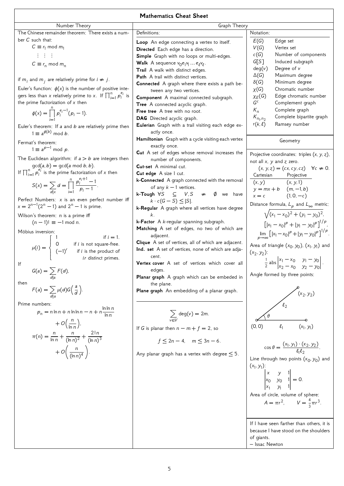|                                                                                                                                      | <b>Mathematics Cheat Sheet</b>                                                             |                                                                                                  |
|--------------------------------------------------------------------------------------------------------------------------------------|--------------------------------------------------------------------------------------------|--------------------------------------------------------------------------------------------------|
| Number Theory                                                                                                                        | Graph Theory                                                                               |                                                                                                  |
| The Chinese remainder theorem: There exists a num-                                                                                   | Definitions:                                                                               | Notation:                                                                                        |
| ber $C$ such that:                                                                                                                   | Loop An edge connecting a vertex to itself.                                                | E(G)<br>Edge set                                                                                 |
| $C \equiv r_1 \mod m_1$                                                                                                              | Directed Each edge has a direction.                                                        | V(G)<br>Vertex set                                                                               |
| $\mathbb{R}^2$ and $\mathbb{R}^2$                                                                                                    | Simple Graph with no loops or multi-edges.                                                 | c(G)<br>Number of components                                                                     |
| $C \equiv r_n \mod m_n$                                                                                                              | <b>Walk</b> A sequence $v_0e_1v_1e_kv_\ell$ .                                              | G[S]<br>Induced subgraph                                                                         |
|                                                                                                                                      | Trail A walk with distinct edges.                                                          | deg(v)<br>Degree of $v$                                                                          |
| if $m_i$ and $m_j$ are relatively prime for $i \neq j$ .                                                                             | Path A trail with distinct vertices.                                                       | $\Delta(G)$<br>Maximum degree                                                                    |
|                                                                                                                                      | <b>Connected</b> A graph where there exists a path be-                                     | $\delta(G)$<br>Minimum degree                                                                    |
| Euler's function: $\phi(x)$ is the number of positive inte-                                                                          | tween any two vertices.                                                                    | $\chi(G)$<br>Chromatic number                                                                    |
| gers less than x relatively prime to x. If $\prod_{i=1}^{n} p_i^{e_i}$ is                                                            | <b>Component</b> A maximal connected subgraph.                                             | Edge chromatic number<br>$\chi_E(G)$                                                             |
| the prime factorization of $x$ then                                                                                                  | Tree A connected acyclic graph.                                                            | $G^c$<br>Complement graph                                                                        |
| $\phi(x) = \prod_{i=1}^{n} p_i^{e_i-1}(p_i - 1).$                                                                                    | Free tree A tree with no root.                                                             | $K_n$<br>Complete graph                                                                          |
|                                                                                                                                      | <b>DAG</b> Directed acyclic graph.                                                         | Complete bipartite graph<br>$K_{n_1,n_2}$                                                        |
| Euler's theorem: If a and b are relatively prime then                                                                                | Eulerian Graph with a trail visiting each edge ex-                                         | $r(k, \ell)$<br>Ramsey number                                                                    |
| $1 \equiv a^{\phi(b)} \mod b$ .                                                                                                      | actly once.                                                                                |                                                                                                  |
| Fermat's theorem:                                                                                                                    | Hamiltonian Graph with a cycle visiting each vertex                                        | Geometry                                                                                         |
| $1 \equiv a^{p-1} \mod p$ .                                                                                                          | exactly once.                                                                              |                                                                                                  |
| The Euclidean algorithm: if $a > b$ are integers then                                                                                | <b>Cut</b> A set of edges whose removal increases the                                      | Projective coordinates: triples $(x, y, z)$ ,                                                    |
| $gcd(a, b) = gcd(a \mod b, b).$                                                                                                      | number of components.                                                                      | not all $x$ , $y$ and $z$ zero.                                                                  |
| If $\prod_{i=1}^n p_i^{e_i}$ is the prime factorization of x then                                                                    | <b>Cut-set</b> A minimal cut.                                                              | $(x, y, z) = (cx, cy, cz)$ $\forall c \neq 0.$                                                   |
|                                                                                                                                      | Cut edge A size I cut.                                                                     | Cartesian<br>Projective                                                                          |
| $S(x) = \sum_{d v} d = \prod_{i=1}^{n} \frac{p_i^{e_i+1} - 1}{p_i - 1}.$                                                             | k-Connected A graph connected with the removal                                             | (x, y)<br>(x, y, 1)                                                                              |
|                                                                                                                                      | of any $k-1$ vertices.<br><b>k-Tough</b> $\forall S \subseteq V, S \neq \emptyset$ we have | $y = mx + b$ $(m, -1, b)$                                                                        |
| Perfect Numbers: x is an even perfect number iff                                                                                     | $k \cdot c(G - S) \leq  S $ .                                                              | $(1, 0, -c)$<br>$x = c$                                                                          |
| $x = 2^{n-1}(2^n - 1)$ and $2^n - 1$ is prime.                                                                                       | k-Regular A graph where all vertices have degree                                           | Distance formula, $L_p$ and $L_\infty$ metric:                                                   |
|                                                                                                                                      | k.                                                                                         | $\sqrt{(x_1-x_0)^2+(y_1-y_0)^2}$                                                                 |
| Wilson's theorem: $n$ is a prime iff<br>$(n-1)! \equiv -1 \mod n$ .                                                                  | k-Factor A k-regular spanning subgraph.                                                    |                                                                                                  |
|                                                                                                                                      | Matching A set of edges, no two of which are                                               | $\left[  x_1 - x_0 ^p +  y_1 - y_0 ^p \right]^{1/p}$                                             |
| Möbius inversion:                                                                                                                    | adjacent.                                                                                  | $\lim_{p\to\infty}\left[ x_1-x_0 ^p+ y_1-y_0 ^p\right]^{1/p}.$                                   |
| if $i = 1$ .                                                                                                                         | Clique A set of vertices, all of which are adjacent.                                       |                                                                                                  |
| $\mu(i) = \begin{cases} 0 & \text{if } i \text{ is not square-free.} \\ (-1)^r & \text{if } i \text{ is the product of} \end{cases}$ | Ind. set A set of vertices, none of which are adja-                                        | Area of triangle $(x_0, y_0)$ , $(x_1, y_1)$ and                                                 |
| ir distinct primes.                                                                                                                  | cent.                                                                                      | $(x_2, y_2)$ :                                                                                   |
| lf                                                                                                                                   | Vertex cover A set of vertices which cover all                                             | $\frac{1}{2}$ abs $\begin{vmatrix} x_1 - x_0 & y_1 - y_0 \\ x_2 - x_0 & y_2 - y_0 \end{vmatrix}$ |
|                                                                                                                                      | edges.                                                                                     |                                                                                                  |
| $G(a) = \sum_{d a} F(d)$ ,                                                                                                           | <b>Planar graph</b> A graph which can be embeded in                                        | Angle formed by three points:                                                                    |
| then                                                                                                                                 | the plane.                                                                                 |                                                                                                  |
| $F(a) = \sum_{d a} \mu(d) G\left(\frac{a}{d}\right).$                                                                                | Plane graph An embedding of a planar graph.                                                | $(x_2, y_2)$                                                                                     |
|                                                                                                                                      |                                                                                            |                                                                                                  |
| Prime numbers:                                                                                                                       |                                                                                            |                                                                                                  |
| $p_n = n \ln n + n \ln \ln n - n + n \frac{\ln \ln n}{\ln n}$                                                                        |                                                                                            |                                                                                                  |
|                                                                                                                                      | $\sum_{v \in V} \deg(v) = 2m.$                                                             |                                                                                                  |
| $+O\left(\frac{n}{\ln n}\right)$                                                                                                     | If G is planar then $n - m + f = 2$ , so                                                   | $(x_1, y_1)$<br>(0, 0)                                                                           |
|                                                                                                                                      |                                                                                            |                                                                                                  |
| $\pi(n) = \frac{n}{\ln n} + \frac{n}{(\ln n)^2} + \frac{2!n}{(\ln n)^3}$                                                             | $f \leq 2n - 4$ , $m \leq 3n - 6$ .                                                        |                                                                                                  |
|                                                                                                                                      |                                                                                            | $\cos \theta = \frac{(x_1, y_1) \cdot (x_2, y_2)}{\ell_1 \ell_2}.$                               |
| $+O\left(\frac{n}{(\ln n)^4}\right)$ .                                                                                               | Any planar graph has a vertex with degree $\leq$ 5.                                        |                                                                                                  |
|                                                                                                                                      |                                                                                            | Line through two points $(x_0, y_0)$ and                                                         |
|                                                                                                                                      |                                                                                            | $(x_1, y_1)$ :                                                                                   |
|                                                                                                                                      |                                                                                            | $\begin{vmatrix} x & y & 1 \\ x_0 & y_0 & 1 \\ x_1 & y_1 & 1 \end{vmatrix} = 0.$                 |
|                                                                                                                                      |                                                                                            |                                                                                                  |
|                                                                                                                                      |                                                                                            |                                                                                                  |
|                                                                                                                                      |                                                                                            | Area of circle, volume of sphere:                                                                |
|                                                                                                                                      |                                                                                            | $A = \pi r^2$ , $V = \frac{4}{3} \pi r^3$ .                                                      |
|                                                                                                                                      |                                                                                            |                                                                                                  |
|                                                                                                                                      |                                                                                            | If I have seen farther than others, it is                                                        |
|                                                                                                                                      |                                                                                            | because I have stood on the shoulders                                                            |
|                                                                                                                                      |                                                                                            | of giants.                                                                                       |

– Issac Newton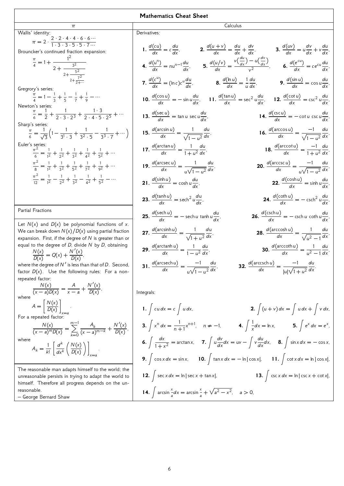| π                                                                                                                                                                  |
|--------------------------------------------------------------------------------------------------------------------------------------------------------------------|
| Wallis' identity:                                                                                                                                                  |
| $\pi = 2 \cdot \frac{2 \cdot 2 \cdot 4 \cdot 4 \cdot 6 \cdot 6 \cdots}{1 \cdot 3 \cdot 3 \cdot 5 \cdot 5 \cdot 7 \cdots}$                                          |
|                                                                                                                                                                    |
| Brouncker's continued fraction expansion:<br>r =<br>ker's continue.<br>$\frac{\pi}{4} = 1 + \frac{1^2}{2 + \frac{3^2}{2 + \frac{5^2}{2 + \frac{7^2}{2 + \dots}}}}$ |
|                                                                                                                                                                    |
|                                                                                                                                                                    |
|                                                                                                                                                                    |
|                                                                                                                                                                    |
|                                                                                                                                                                    |
| Gregrory's series:                                                                                                                                                 |
| $\frac{\pi}{4} = 1 - \frac{1}{3} + \frac{1}{5} - \frac{1}{7} + \frac{1}{6} - \cdots$                                                                               |
|                                                                                                                                                                    |
| Newton's series:                                                                                                                                                   |
| $\frac{\pi}{6} = \frac{1}{2} + \frac{1}{2 \cdot 3 \cdot 2^3} + \frac{1 \cdot 3}{2 \cdot 4 \cdot 5 \cdot 2^5} + \cdots$                                             |
| Sharp's series:                                                                                                                                                    |
|                                                                                                                                                                    |
| $\frac{\pi}{6} = \frac{1}{\sqrt{3}} \left( 1 - \frac{1}{3! \cdot 3} + \frac{1}{3^2 \cdot 5} - \frac{1}{3^3 \cdot 7} + \cdots \right)$                              |
|                                                                                                                                                                    |
| Euler's series:                                                                                                                                                    |
| $\frac{\pi^2}{4} = \frac{1}{12} + \frac{1}{2} + \frac{1}{32} + \frac{1}{42} + \frac{1}{52} + \cdots$                                                               |
|                                                                                                                                                                    |
| $\frac{\pi^2}{8} = \frac{1}{12} + \frac{1}{22} + \frac{1}{52} + \frac{1}{72} + \frac{1}{92} + \cdots$                                                              |
|                                                                                                                                                                    |
| $\frac{\pi^2}{42} = \frac{1}{42} - \frac{1}{24} + \frac{1}{32} - \frac{1}{42} + \frac{1}{52} - \cdots$                                                             |
|                                                                                                                                                                    |
|                                                                                                                                                                    |
|                                                                                                                                                                    |
|                                                                                                                                                                    |
| Partial Fractions                                                                                                                                                  |
|                                                                                                                                                                    |
| Let $N(x)$ and $D(x)$ be polynomial functions of x.<br>$\mathbf{M}$                                                                                                |
|                                                                                                                                                                    |

We can break down  $N(x)/D(x)$  using partial fraction expansion. First, if the degree of  $N$  is greater than or equal to the degree of  $D$ , divide  $N$  by  $D$ , obtaining

 $\frac{N(x)}{D(x)} = Q(x) + \frac{N'(x)}{D(x)},$ 

where the degree of N' is less than that of D. Second, factor  $D(x)$ . Use the following rules: For a nonrepeated factor:  $N(\nu)$  $\lambda$ 

$$
\frac{N(x)}{(x-a)D(x)} = \frac{A}{x-a} + \frac{N'(x)}{D(x)},
$$
\nwhere\n
$$
A = \left[\frac{N(x)}{D(x)}\right]_{x=a}.
$$
\nFor a repeated factor:\n
$$
\frac{N(x)}{(x-a)^m D(x)} = \sum_{k=0}^{m-1} \frac{A_k}{(x-a)^{m-k}} + \frac{N'(x)}{D(x)},
$$
\nwhere\n
$$
A_k = \frac{1}{k!} \left[\frac{d^k}{dx^k} \left(\frac{N(x)}{D(x)}\right)\right]_{x=a}.
$$

The reasonable man adapts himself to the world; the unreasonable persists in trying to adapt the world to himself. Therefore all progress depends on the unreasonable.

– George Bernard Shaw

| $\pi$                                                                            |                                                                                     | Calculus                                                                                                                                                                                          |
|----------------------------------------------------------------------------------|-------------------------------------------------------------------------------------|---------------------------------------------------------------------------------------------------------------------------------------------------------------------------------------------------|
|                                                                                  | Derivatives:                                                                        |                                                                                                                                                                                                   |
| $\frac{4.6.6}{5.5.7}$<br>ction expansion:                                        |                                                                                     | 1. $\frac{d(cu)}{dx} = c\frac{du}{dx}$ , 2. $\frac{d(u+v)}{dx} = \frac{du}{dx} + \frac{dv}{dx}$ , 3. $\frac{d(uv)}{dx} = u\frac{dv}{dx} + v\frac{du}{dx}$                                         |
| $\frac{3^2}{5^2}$                                                                |                                                                                     | <b>4.</b> $\frac{d(u^n)}{dx} = nu^{n-1}\frac{du}{dx}$ , <b>5.</b> $\frac{d(u/v)}{dx} = \frac{v(\frac{du}{dx}) - u(\frac{dv}{dx})}{v^2}$ , <b>6.</b> $\frac{d(e^{cu})}{dx} = ce^{cu}\frac{du}{dx}$ |
| $+\frac{7^2}{2+\cdots}$                                                          |                                                                                     | 7. $\frac{d(c^u)}{dx} = (\ln c)c^u \frac{du}{dx}$ ,<br>8. $\frac{d(\ln u)}{dx} = \frac{1}{u} \frac{du}{dx}$ ,<br>9. $\frac{d(\sin u)}{dx} = \cos u \frac{du}{dx}$ ,                               |
| $\frac{1}{7} + \frac{1}{9} - \cdots$                                             |                                                                                     | 10. $\frac{d(\cos u)}{dx}$ = $-\sin u \frac{du}{dx}$ , 11. $\frac{d(\tan u)}{dx}$ = sec <sup>2</sup> $u \frac{du}{dx}$ , 12. $\frac{d(\cot u)}{dx}$ = csc <sup>2</sup> $u \frac{du}{dx}$          |
| $\frac{1 \cdot 3}{2^3} + \frac{1 \cdot 3}{2 \cdot 4 \cdot 5 \cdot 2^5} + \cdots$ | <b>13.</b> $\frac{d(\sec u)}{dx} = \tan u \sec u \frac{du}{dx}$                     | <b>14.</b> $\frac{d(\csc u)}{dx} = -\cot u \csc u \frac{du}{dx}$                                                                                                                                  |
| $+\frac{1}{3^2 \cdot 5} - \frac{1}{3^3 \cdot 7} + \cdots$                        | <b>15.</b> $\frac{d(\arcsin u)}{dx} = \frac{1}{\sqrt{1-u^2}} \frac{du}{dx}$         | <b>16.</b> $\frac{d(\arccos u)}{dx} = \frac{-1}{\sqrt{1 - u^2}} \frac{du}{dx}$                                                                                                                    |
| $\frac{1}{3^2} + \frac{1}{4^2} + \frac{1}{5^2} + \cdots$                         | <b>17.</b> $\frac{d(\arctan u)}{dx} = \frac{1}{1+u^2} \frac{du}{dx}$                | <b>18.</b> $\frac{d(\text{arccot }u)}{dx} = \frac{-1}{1 + u^2} \frac{du}{dx}$                                                                                                                     |
| $\frac{1}{5^2} + \frac{1}{7^2} + \frac{1}{9^2} + \cdots$                         | <b>19.</b> $\frac{d(\text{arcsec }u)}{dx} = \frac{1}{\sqrt{1-\mu^2}} \frac{du}{dx}$ | <b>20.</b> $\frac{d(\text{arccsc }u)}{dx} = \frac{-1}{u\sqrt{1-u^2}}\frac{du}{dx}$                                                                                                                |
| $\frac{1}{3^2} - \frac{1}{4^2} + \frac{1}{5^2} - \cdots$                         | <b>21.</b> $\frac{d(\sinh u)}{dx} = \cosh u \frac{du}{dx}$                          | <b>22.</b> $\frac{d(\cosh u)}{dx} = \sinh u \frac{du}{dx}$                                                                                                                                        |
|                                                                                  | <b>23.</b> $\frac{d(\tanh u)}{dx} = \operatorname{sech}^2 u \frac{du}{dx}$          | <b>24.</b> $\frac{d(\coth u)}{dx} = -\csch^2 u \frac{du}{dx}$                                                                                                                                     |
| polynomial functions of x.                                                       | <b>25.</b> $\frac{d(\text{sech }u)}{dx}$ = - sech <i>u</i> tanh $u\frac{du}{dx}$ ,  | <b>26.</b> $\frac{d(\text{csch }u)}{dx}$ = - csch u coth $u\frac{du}{dx}$ ,                                                                                                                       |
| $/D(x)$ using partial fraction<br>gree of $N$ is greater than or                 | <b>27.</b> $\frac{d(\arcsinh u)}{dx} = \frac{1}{\sqrt{1 + u^2}} \frac{du}{dx},$     | <b>28.</b> $\frac{d(\text{arccosh }u)}{dx} = \frac{1}{\sqrt{u^2-1}}\frac{du}{dx}$                                                                                                                 |
| , divide $N$ by $D$ , obtaining<br>$\frac{\sqrt{(x)}}{D(x)},$                    | <b>29.</b> $\frac{d(\arctanh u)}{dx} = \frac{1}{1-u^2}\frac{du}{dx},$               | <b>30.</b> $\frac{d(\text{arccoth }u)}{dx} = \frac{1}{u^2 - 1} \frac{du}{dx}$                                                                                                                     |
| less than that of D. Second,<br>Ilowing rules: For a non-                        | <b>31.</b> $\frac{d(\text{arcsech }u)}{dx} = \frac{-1}{u\sqrt{1-u^2}}\frac{du}{dx}$ | <b>32.</b> $\frac{d(\text{arccsch }u)}{dx} = \frac{-1}{ u \sqrt{1+u^2}}\frac{du}{dx}.$                                                                                                            |
|                                                                                  |                                                                                     |                                                                                                                                                                                                   |

Integrals:

1. 
$$
\int c u dx = c \int u dx
$$
,  
\n2.  $\int (u+v) dx = \int u dx + \int v dx$ ,  
\n3.  $\int x^n dx = \frac{1}{n+1}x^{n+1}$ ,  $n \ne -1$ ,  
\n4.  $\int \frac{1}{x}dx = \ln x$ ,  
\n5.  $\int e^x dx = e^x$ ,  
\n6.  $\int \frac{dx}{1+x^2} = \arctan x$ ,  
\n7.  $\int u \frac{dv}{dx} dx = uv - \int v \frac{du}{dx} dx$ ,  
\n8.  $\int \sin x dx = -\cos x$ ,  
\n9.  $\int \cos x dx = \sin x$ ,  
\n10.  $\int \tan x dx = -\ln|\cos x|$ ,  
\n11.  $\int \cot x dx = \ln|\cos x|$ ,  
\n12.  $\int \sec x dx = \ln|\sec x + \tan x|$ ,  
\n13.  $\int \csc x dx = \ln|\csc x + \cot x|$ ,  
\n14.  $\int \arcsin \frac{x}{a} dx = \arcsin \frac{x}{a} + \sqrt{a^2 - x^2}$ ,  $a > 0$ ,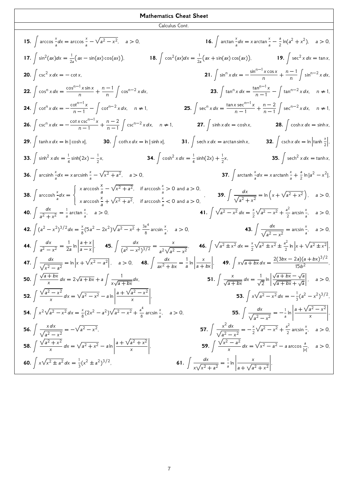Calculus Cont.

15. 
$$
\int \arccos \frac{x}{a} dx = \arccos \frac{x}{a} - \sqrt{a^2 - x^2}
$$
,  $a > 0$ .  
\n16.  $\int \arctan \frac{x}{a} dx = x \arctan \frac{x}{a} - \frac{a}{2} \ln(a^2 + x^2)$ ,  $a > 0$ .  
\n17.  $\int \sin^2(ax) dx = \frac{1}{2a} (ax - \sin(ax) \cos(ax))$ .  
\n18.  $\int \cos^2(ax) dx = \frac{1}{2a} (ax + \sin(ax) \cos(ax))$ .  
\n19.  $\int \sec^2 x dx = \tan x$ .  
\n20.  $\int \csc^2 x dx = -\cot x$ .  
\n21.  $\int \sin^m x dx = -\frac{\sin^{n-1} x \cos x}{n} + \frac{n-1}{n} \int \cos^{n-2} x dx$ .  
\n22.  $\int \cos^n x dx = -\frac{\cos^{n-1} x \sin x}{n} + \frac{n-1}{n} \int \cos^{n-2} x dx$ .  
\n23.  $\int \tan^n x dx = \frac{\tan^{n-1} x}{n-1} - \int \tan^{n-2} x dx$ ,  $n \ne 1$ .  
\n24.  $\int \cot^n x dx = -\frac{\cot x \csc^{n-1} x}{n-1} + \frac{n-2}{n-1} \int \cot^{n-2} x dx$ .  
\n25.  $\int \sec^2 x dx = \frac{\tan x \sec^{n-1} x}{n-1} + \frac{n-2}{n-1} \int \sec^{n-2} x dx$ .  
\n26.  $\int \csc^n x dx = -\frac{\csc^{n-1} x}{n-1} + \frac{n-2}{n-1} \int \csc^{n-2} x dx$ .  
\n27.  $\int \sinh x dx = \cosh x$ .  
\n28.  $\int \tanh x dx = \ln |\cosh x|$ .  
\n29.  $\int \tanh x dx = \ln |\cosh x|$ .  
\n30.  $\int \coth x dx = \ln |\sinh x|$ .  
\n31.  $\int \operatorname{sech}^2 x dx = \arcsinh \frac{x}{2} + \sqrt{x^2 + a^2}$ ,  $a > 0$ .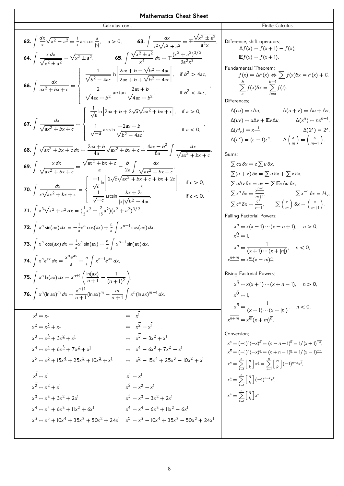**Mathematics The at Sheet**  
\n**62.** 
$$
\int \frac{dx}{x} \sqrt{x^2 - a^2} = \frac{1}{2} \arccos \frac{a}{b^2}
$$
. **a** > 0, **63.**  $\int \frac{dx}{x^2 \sqrt{x^2 + a^2}} = \mp \frac{\sqrt{x^2 \pm a^2}}{x^2 \sqrt{x^2 \pm a^2}} = \frac{\sqrt{x^2 \pm a^2}}{x^2 \sqrt{x^2 \pm a^2}} = \frac{\sqrt{x^2 \pm a^2}}{x^2 \sqrt{x^2 \pm a^2}} = \frac{\sqrt{x^2 \pm a^2}}{x^2 \sqrt{x^2 \pm a^2}} = \frac{\pi}{x^2 \sqrt{x^2 \pm a^2}} = \frac{\pi}{x^2 \sqrt{x^2 \pm a^2}} = \frac{\pi}{x^2 \sqrt{x^2 \pm a^2}} = \frac{\pi}{x^2 \sqrt{x^2 \pm a^2}} = \frac{\pi}{x^2 \sqrt{x^2 \pm a^2}} = \frac{\pi}{x^2 \sqrt{x^2 \pm a^2}} = \frac{\pi}{x^2 \sqrt{x^2 \pm a^2}} = \frac{\pi}{x^2 \sqrt{x^2 \pm a^2}} = \frac{\pi}{x^2 \sqrt{x^2 \pm a^2}} = \frac{\pi}{x^2 \sqrt{x^2 \pm a^2}} = \frac{\pi}{x^2 \sqrt{x^2 \pm a^2}} = \frac{\pi}{x^2 \sqrt{x^2 \pm a^2}} = \frac{\pi}{x^2 \sqrt{x^2 \pm a^2}} = \frac{\pi}{x^2 \sqrt{x^2 \pm a^2}} = \frac{\pi}{x^2 \sqrt{x^2 \pm b^2 \pm b^2}} = \frac{\pi}{x^2 \sqrt{x^2 \pm b^2 \pm b^2}} = \frac{\pi}{x^2 \sqrt{x^2 \pm b^2 \pm b^2}} = \frac{\pi}{x^2 \sqrt{x^2 \pm b^2 \pm b^2}} = \frac{\pi}{x^2 \sqrt{x^2 \pm b^2 \pm b^2}} = \frac{\pi}{x^2 \sqrt{x^2 \pm b^2 \pm b^2}} = \frac{\pi}{x^2 \sqrt{x^2 \pm b^2 \pm b^2}} = \frac{\pi}{x^2 \sqrt{x^2 \pm b^2 \pm b^2}} = \frac{\pi}{x^2 \sqrt{x^2 \pm b^2 \pm b^2}} = \frac{\pi}{x^2 \sqrt{x^2 \pm b^2 \pm b^2}} = \frac{\pi}{x^2 \sqrt{x$ 

,

,

,

,

,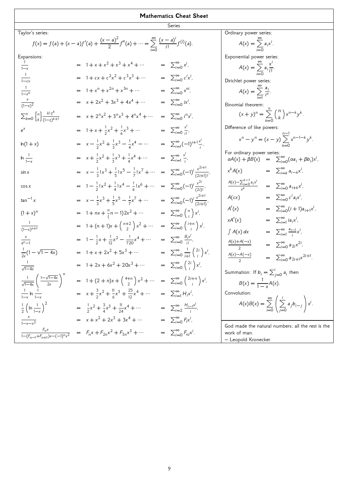| т.<br>v. | ۰.<br>.,<br>$\sim$<br>× |
|----------|-------------------------|

| Taylor's series:                                                               |                                                                                                                         |                                                                                               | Ordinary power series:                                                                                      |
|--------------------------------------------------------------------------------|-------------------------------------------------------------------------------------------------------------------------|-----------------------------------------------------------------------------------------------|-------------------------------------------------------------------------------------------------------------|
|                                                                                | $f(x) = f(a) + (x - a)f'(a) + \frac{(x - a)^2}{2}f''(a) + \cdots = \sum_{i=0}^{\infty} \frac{(x - a)^i}{i!}f^{(i)}(a).$ |                                                                                               | $A(x) = \sum_{i=1}^{n} a_i x^{i}$ .                                                                         |
|                                                                                |                                                                                                                         |                                                                                               |                                                                                                             |
| Expansions:                                                                    |                                                                                                                         |                                                                                               | Exponential power series:                                                                                   |
|                                                                                | $= 1 + x + x2 + x3 + x4 + $                                                                                             | $= \sum_{i=0}^{\infty} x^i$ ,                                                                 |                                                                                                             |
| $\overline{1-x}$                                                               |                                                                                                                         |                                                                                               | $A(x) = \sum_{i=0}^{n} a_i \frac{x^i}{i!}$ .                                                                |
| $\frac{1}{1-cx}$                                                               | $= 1 + cx + c2x2 + c3x3 + $                                                                                             | $= \sum_{i=0}^{\infty} c^i x^i$                                                               |                                                                                                             |
|                                                                                |                                                                                                                         |                                                                                               | Dirichlet power series:                                                                                     |
| $\frac{1}{1-x^n}$                                                              | $= 1 + x^n + x^{2n} + x^{3n} + \cdots$                                                                                  | $= \sum_{i=0}^{\infty} x^{ni}$                                                                | $A(x) = \sum_{i=1}^{n} \frac{a_i}{i^x}$ .                                                                   |
|                                                                                | $= x + 2x^{2} + 3x^{3} + 4x^{4} + \cdots$                                                                               | $= \sum_{i=0}^{\infty} ix^i$                                                                  |                                                                                                             |
| $\frac{x}{(1-x)^2}$                                                            |                                                                                                                         |                                                                                               | Binomial theorem:                                                                                           |
| $\sum_{k=0}^{n} \begin{cases} n \\ k \end{cases} \frac{k! z^{k}}{(1-z)^{k+1}}$ | $= x + 2^n x^2 + 3^n x^3 + 4^n x^4 + \cdots$                                                                            | $= \sum_{i=0}^{\infty} i^n x^i$                                                               | $(x + y)^n = \sum_{k=0}^{n} {n \choose k} x^{n-k} y^k$ .                                                    |
|                                                                                |                                                                                                                         |                                                                                               |                                                                                                             |
| $e^{x}$                                                                        | $= 1 + x + \frac{1}{2}x^2 + \frac{1}{6}x^3 + \cdots$                                                                    | $= \sum_{i=0}^{\infty} \frac{x^i}{i!},$                                                       | Difference of like powers:                                                                                  |
|                                                                                |                                                                                                                         |                                                                                               |                                                                                                             |
| $ln(1 + x)$                                                                    | $= x - \frac{1}{2}x^2 + \frac{1}{3}x^3 - \frac{1}{4}x^4 - \cdots$                                                       | $= \sum_{i=1}^{\infty} (-1)^{i+1} \frac{x^{i}}{i}$                                            | $x^n - y^n = (x - y) \sum_{n=1}^{n-1} x^{n-1-k} y^k$ .                                                      |
|                                                                                |                                                                                                                         |                                                                                               |                                                                                                             |
| $\ln \frac{1}{1-x}$                                                            | $= x + \frac{1}{2}x^2 + \frac{1}{3}x^3 + \frac{1}{4}x^4 + \cdots$                                                       | $= \sum_{i=1}^{\infty} \frac{x^i}{i!}$                                                        | For ordinary power series:<br>$\alpha A(x) + \beta B(x) = \sum_{i=0}^{\infty} (\alpha a_i + \beta b_i) x^i$ |
|                                                                                |                                                                                                                         |                                                                                               |                                                                                                             |
| $\sin x$                                                                       | $= x - \frac{1}{3} [x^3 + \frac{1}{5} [x^5 - \frac{1}{7} [x^7 + \cdots])$                                               | $= \sum_{i=0}^{\infty} (-1)^i \frac{x^{2i+1}}{(2i+1)!}$                                       | $= \sum_{i=k}^{\infty} a_{i-k} x^i$<br>$x^k A(x)$                                                           |
|                                                                                |                                                                                                                         |                                                                                               |                                                                                                             |
| $\cos x$                                                                       | $= 1 - \frac{1}{2}  x^2 + \frac{1}{4}  x^4 - \frac{1}{6}  x^6 + \cdots$                                                 | $= \sum_{i=0}^{\infty} (-1)^i \frac{x^{2i}}{(2i)!}$                                           | $\frac{A(x)-\sum_{i=0}^{k-1}a_ix^i}{k}$<br>$= \sum_{i=0}^{\infty} a_{i+k} x^{i}$                            |
|                                                                                |                                                                                                                         |                                                                                               |                                                                                                             |
| $tan^{-1}$ x                                                                   | $= x - \frac{1}{3}x^3 + \frac{1}{5}x^5 - \frac{1}{7}x^7 + \cdots$                                                       | $= \sum_{i=0}^{\infty} (-1)^i \frac{x^{2i+1}}{(2i+1)}$                                        | $= \sum_{i=0}^{\infty} c^i a_i x^i$<br>A(cx)                                                                |
|                                                                                |                                                                                                                         |                                                                                               | $= \sum_{i=0}^{\infty} (i+1)a_{i+1}x^{i}$<br>A'(x)                                                          |
| $(1 + x)^n$                                                                    | $= 1 + nx + \frac{n}{(n-1)}2x^2 + \cdots$                                                                               | $= \sum_{i=0}^{\infty} {n \choose i} x^{i}$                                                   |                                                                                                             |
|                                                                                |                                                                                                                         |                                                                                               | $= \sum_{i=1}^{\infty} i a_i x^i$ ,<br>xA'(x)                                                               |
| $\frac{1}{(1-x)^{n+1}}$                                                        | $= 1 + (n+1)x + \binom{n+2}{2}x^2 + \cdots$                                                                             | $= \sum_{i=0}^{\infty} {i+n \choose i} x^{i}$                                                 | $= \sum_{i=1}^{\infty} \frac{a_{i-1}}{i} x^{i}$<br>$\int A(x) dx$                                           |
|                                                                                | $= 1 - \frac{1}{2}x + \frac{1}{12}x^2 - \frac{1}{720}x^4 + \cdots$                                                      | $= \sum_{i=0}^{\infty} \frac{B_i x^i}{i!},$                                                   |                                                                                                             |
| $\frac{x}{e^x-1}$                                                              |                                                                                                                         |                                                                                               | $\frac{A(x)+A(-x)}{2}$<br>$= \sum_{i=0}^{\infty} a_{2i} x^{2i}$                                             |
| $\frac{1}{2x}(1-\sqrt{1-4x})$                                                  | $= 1 + x + 2x^{2} + 5x^{3} + \cdots$                                                                                    | $= \sum_{i=0}^{\infty} \frac{1}{i+1} \left( \begin{array}{c} 2i \\ i \end{array} \right) x^i$ |                                                                                                             |
|                                                                                |                                                                                                                         |                                                                                               | $\frac{A(x)-A(-x)}{2}$<br>$= \sum_{i=0}^{\infty} a_{2i+1} x^{2i+1}$ .                                       |
| $\frac{1}{\sqrt{1-4x}}$                                                        | $= 1 + 2x + 6x^{2} + 20x^{3} + \cdots$                                                                                  | $= \sum_{i=0}^{\infty} \binom{2i}{i} x^i,$                                                    |                                                                                                             |
|                                                                                |                                                                                                                         |                                                                                               | Summation: If $b_i = \sum_{j=0}^{i} a_i$ then                                                               |
| $\frac{1}{\sqrt{1-4x}}\left(\frac{1-\sqrt{1-4x}}{2x}\right)^n$                 | $= 1 + (2 + n)x + {4+n \choose 2}x^2 + \cdots = \sum_{i=0}^{\infty} {2i+n \choose i}x^i$                                |                                                                                               |                                                                                                             |
|                                                                                |                                                                                                                         |                                                                                               | $B(x) = \frac{1}{1-x}A(x).$                                                                                 |
| $\frac{1}{1-x}$ ln $\frac{1}{1-x}$                                             | $= x + \frac{3}{2}x^2 + \frac{11}{6}x^3 + \frac{25}{12}x^4 + \cdots$                                                    | $= \sum_{i=1}^{\infty} H_i x^i$                                                               | Convolution:                                                                                                |
|                                                                                |                                                                                                                         |                                                                                               | $A(x)B(x) = \sum_{i=0}^{\infty} \left( \sum_{i=0}^{i} a_i b_{i-j} \right) x^i.$                             |
| $\frac{1}{2}$ $\left(\ln \frac{1}{1-x}\right)^2$                               | $=\frac{1}{2}x^2+\frac{3}{4}x^3+\frac{11}{24}x^4+\cdots$                                                                | $= \sum_{i=2}^{\infty} \frac{H_{i-1}x^{i}}{i},$                                               |                                                                                                             |
|                                                                                |                                                                                                                         |                                                                                               |                                                                                                             |
| $\frac{x}{1-x-x^2}$                                                            | $= x + x2 + 2x3 + 3x4 + $                                                                                               | $= \sum_{i=0}^{\infty} F_i x^i$                                                               | God made the natural numbers; all the rest is the                                                           |
| $\frac{F_n x}{1-(F_{n-1}+F_{n+1})x-(-1)^n x^2}$                                | = $F_n x + F_{2n} x^2 + F_{3n} x^3 + \cdots$                                                                            | $= \sum_{i=0}^{\infty} F_{ni}x^{i}$ .                                                         | work of man.                                                                                                |
|                                                                                |                                                                                                                         |                                                                                               | - Leopold Kronecker                                                                                         |
|                                                                                |                                                                                                                         |                                                                                               |                                                                                                             |

9